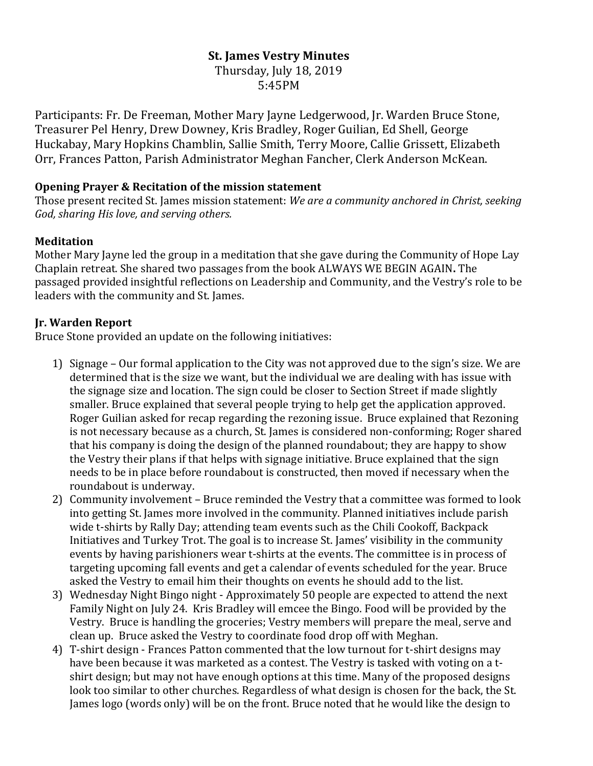# **St. James Vestry Minutes**

Thursday, July 18, 2019 5:45PM

Participants: Fr. De Freeman, Mother Mary Jayne Ledgerwood, Jr. Warden Bruce Stone, Treasurer Pel Henry, Drew Downey, Kris Bradley, Roger Guilian, Ed Shell, George Huckabay, Mary Hopkins Chamblin, Sallie Smith, Terry Moore, Callie Grissett, Elizabeth Orr, Frances Patton, Parish Administrator Meghan Fancher, Clerk Anderson McKean.

#### **Opening Prayer & Recitation of the mission statement**

Those present recited St. James mission statement: *We are a community anchored in Christ, seeking God, sharing His love, and serving others.*

#### **Meditation**

Mother Mary Jayne led the group in a meditation that she gave during the Community of Hope Lay Chaplain retreat. She shared two passages from the book ALWAYS WE BEGIN AGAIN**.** The passaged provided insightful reflections on Leadership and Community, and the Vestry's role to be leaders with the community and St. James.

#### **Jr. Warden Report**

Bruce Stone provided an update on the following initiatives:

- 1) Signage Our formal application to the City was not approved due to the sign's size. We are determined that is the size we want, but the individual we are dealing with has issue with the signage size and location. The sign could be closer to Section Street if made slightly smaller. Bruce explained that several people trying to help get the application approved. Roger Guilian asked for recap regarding the rezoning issue. Bruce explained that Rezoning is not necessary because as a church, St. James is considered non-conforming; Roger shared that his company is doing the design of the planned roundabout; they are happy to show the Vestry their plans if that helps with signage initiative. Bruce explained that the sign needs to be in place before roundabout is constructed, then moved if necessary when the roundabout is underway.
- 2) Community involvement Bruce reminded the Vestry that a committee was formed to look into getting St. James more involved in the community. Planned initiatives include parish wide t-shirts by Rally Day; attending team events such as the Chili Cookoff, Backpack Initiatives and Turkey Trot. The goal is to increase St. James' visibility in the community events by having parishioners wear t-shirts at the events. The committee is in process of targeting upcoming fall events and get a calendar of events scheduled for the year. Bruce asked the Vestry to email him their thoughts on events he should add to the list.
- 3) Wednesday Night Bingo night Approximately 50 people are expected to attend the next Family Night on July 24. Kris Bradley will emcee the Bingo. Food will be provided by the Vestry. Bruce is handling the groceries; Vestry members will prepare the meal, serve and clean up. Bruce asked the Vestry to coordinate food drop off with Meghan.
- 4) T-shirt design Frances Patton commented that the low turnout for t-shirt designs may have been because it was marketed as a contest. The Vestry is tasked with voting on a tshirt design; but may not have enough options at this time. Many of the proposed designs look too similar to other churches. Regardless of what design is chosen for the back, the St. James logo (words only) will be on the front. Bruce noted that he would like the design to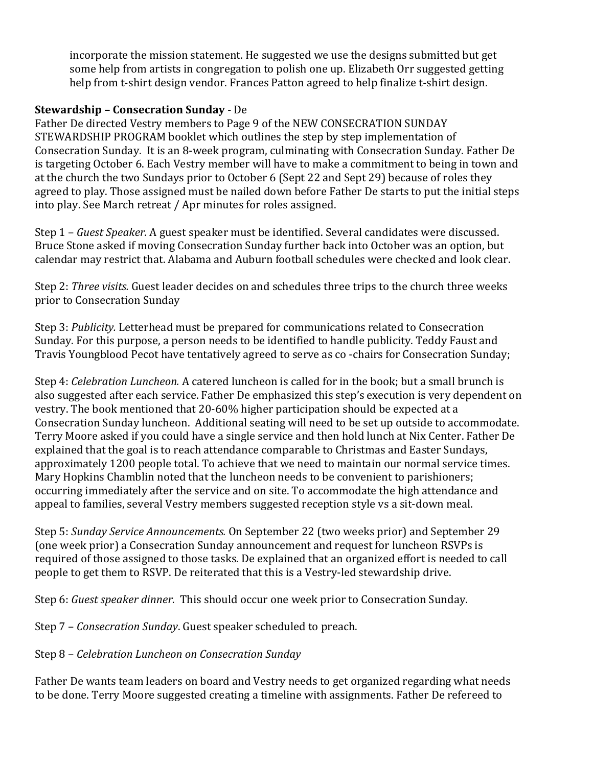incorporate the mission statement. He suggested we use the designs submitted but get some help from artists in congregation to polish one up. Elizabeth Orr suggested getting help from t-shirt design vendor. Frances Patton agreed to help finalize t-shirt design. 

#### **Stewardship – Consecration Sunday** - De

Father De directed Vestry members to Page 9 of the NEW CONSECRATION SUNDAY STEWARDSHIP PROGRAM booklet which outlines the step by step implementation of Consecration Sunday. It is an 8-week program, culminating with Consecration Sunday. Father De is targeting October 6. Each Vestry member will have to make a commitment to being in town and at the church the two Sundays prior to October 6 (Sept 22 and Sept 29) because of roles they agreed to play. Those assigned must be nailed down before Father De starts to put the initial steps into play. See March retreat / Apr minutes for roles assigned.

Step 1 – *Guest Speaker.* A guest speaker must be identified. Several candidates were discussed. Bruce Stone asked if moving Consecration Sunday further back into October was an option, but calendar may restrict that. Alabama and Auburn football schedules were checked and look clear.

Step 2: *Three visits.* Guest leader decides on and schedules three trips to the church three weeks prior to Consecration Sunday

Step 3: *Publicity.* Letterhead must be prepared for communications related to Consecration Sunday. For this purpose, a person needs to be identified to handle publicity. Teddy Faust and Travis Youngblood Pecot have tentatively agreed to serve as co -chairs for Consecration Sunday;

Step 4: *Celebration Luncheon.* A catered luncheon is called for in the book; but a small brunch is also suggested after each service. Father De emphasized this step's execution is very dependent on vestry. The book mentioned that 20-60% higher participation should be expected at a Consecration Sunday luncheon. Additional seating will need to be set up outside to accommodate. Terry Moore asked if you could have a single service and then hold lunch at Nix Center. Father De explained that the goal is to reach attendance comparable to Christmas and Easter Sundays, approximately 1200 people total. To achieve that we need to maintain our normal service times. Mary Hopkins Chamblin noted that the luncheon needs to be convenient to parishioners; occurring immediately after the service and on site. To accommodate the high attendance and appeal to families, several Vestry members suggested reception style vs a sit-down meal.

Step 5: *Sunday Service Announcements.* On September 22 (two weeks prior) and September 29 (one week prior) a Consecration Sunday announcement and request for luncheon RSVPs is required of those assigned to those tasks. De explained that an organized effort is needed to call people to get them to RSVP. De reiterated that this is a Vestry-led stewardship drive.

Step 6: *Guest speaker dinner.* This should occur one week prior to Consecration Sunday.

Step 7 – *Consecration Sunday*. Guest speaker scheduled to preach.

## Step 8 – *Celebration Luncheon on Consecration Sunday*

Father De wants team leaders on board and Vestry needs to get organized regarding what needs to be done. Terry Moore suggested creating a timeline with assignments. Father De refereed to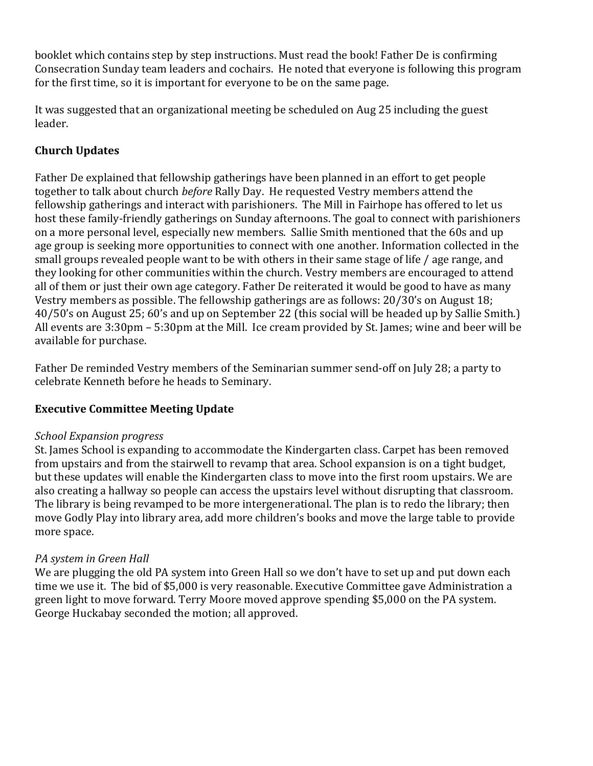booklet which contains step by step instructions. Must read the book! Father De is confirming Consecration Sunday team leaders and cochairs. He noted that everyone is following this program for the first time, so it is important for everyone to be on the same page.

It was suggested that an organizational meeting be scheduled on Aug 25 including the guest leader.

# **Church Updates**

Father De explained that fellowship gatherings have been planned in an effort to get people together to talk about church *before* Rally Day. He requested Vestry members attend the fellowship gatherings and interact with parishioners. The Mill in Fairhope has offered to let us host these family-friendly gatherings on Sunday afternoons. The goal to connect with parishioners on a more personal level, especially new members. Sallie Smith mentioned that the 60s and up age group is seeking more opportunities to connect with one another. Information collected in the small groups revealed people want to be with others in their same stage of life / age range, and they looking for other communities within the church. Vestry members are encouraged to attend all of them or just their own age category. Father De reiterated it would be good to have as many Vestry members as possible. The fellowship gatherings are as follows: 20/30's on August 18; 40/50's on August 25; 60's and up on September 22 (this social will be headed up by Sallie Smith.) All events are 3:30pm – 5:30pm at the Mill. Ice cream provided by St. James; wine and beer will be available for purchase.

Father De reminded Vestry members of the Seminarian summer send-off on July 28; a party to celebrate Kenneth before he heads to Seminary.

## **Executive Committee Meeting Update**

## *School Expansion progress*

St. James School is expanding to accommodate the Kindergarten class. Carpet has been removed from upstairs and from the stairwell to revamp that area. School expansion is on a tight budget, but these updates will enable the Kindergarten class to move into the first room upstairs. We are also creating a hallway so people can access the upstairs level without disrupting that classroom. The library is being revamped to be more intergenerational. The plan is to redo the library; then move Godly Play into library area, add more children's books and move the large table to provide more space.

## *PA system in Green Hall*

We are plugging the old PA system into Green Hall so we don't have to set up and put down each time we use it. The bid of \$5,000 is very reasonable. Executive Committee gave Administration a green light to move forward. Terry Moore moved approve spending \$5,000 on the PA system. George Huckabay seconded the motion; all approved.